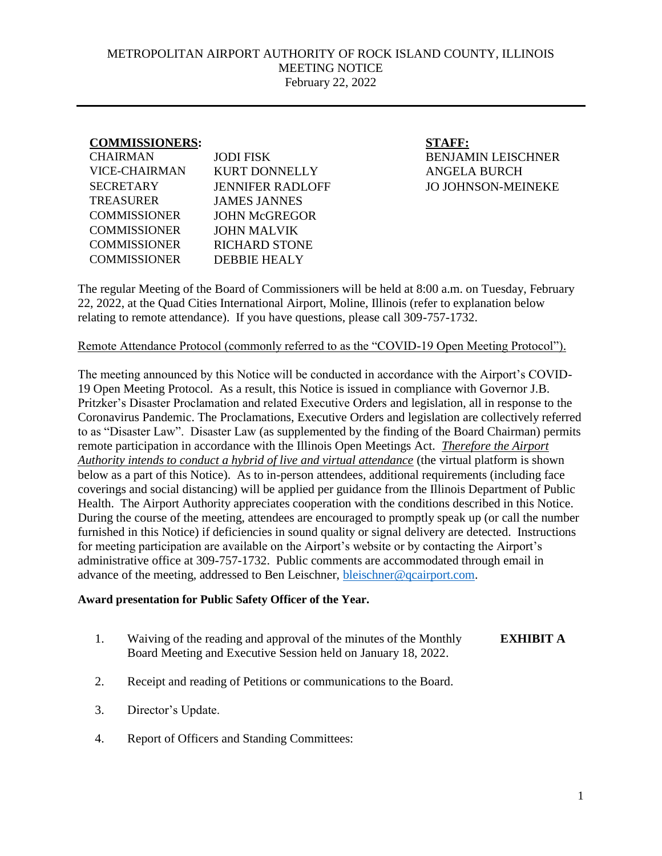## METROPOLITAN AIRPORT AUTHORITY OF ROCK ISLAND COUNTY, ILLINOIS MEETING NOTICE February 22, 2022

## **COMMISSIONERS: STAFF:**

| CHAIRMAN             | <b>JODI FISK</b>        |
|----------------------|-------------------------|
| <b>VICE-CHAIRMAN</b> | <b>KURT DONNELLY</b>    |
| <b>SECRETARY</b>     | <b>JENNIFER RADLOFF</b> |
| TREASURER            | <b>JAMES JANNES</b>     |
| <b>COMMISSIONER</b>  | <b>JOHN McGREGOR</b>    |
| <b>COMMISSIONER</b>  | <b>JOHN MALVIK</b>      |
| <b>COMMISSIONER</b>  | <b>RICHARD STONE</b>    |
| <b>COMMISSIONER</b>  | <b>DEBBIE HEALY</b>     |
|                      |                         |

**BENJAMIN LEISCHNER** ANGELA BURCH JO JOHNSON-MEINEKE

The regular Meeting of the Board of Commissioners will be held at 8:00 a.m. on Tuesday, February 22, 2022, at the Quad Cities International Airport, Moline, Illinois (refer to explanation below relating to remote attendance). If you have questions, please call 309-757-1732.

## Remote Attendance Protocol (commonly referred to as the "COVID-19 Open Meeting Protocol").

The meeting announced by this Notice will be conducted in accordance with the Airport's COVID-19 Open Meeting Protocol. As a result, this Notice is issued in compliance with Governor J.B. Pritzker's Disaster Proclamation and related Executive Orders and legislation, all in response to the Coronavirus Pandemic. The Proclamations, Executive Orders and legislation are collectively referred to as "Disaster Law". Disaster Law (as supplemented by the finding of the Board Chairman) permits remote participation in accordance with the Illinois Open Meetings Act. *Therefore the Airport Authority intends to conduct a hybrid of live and virtual attendance* (the virtual platform is shown below as a part of this Notice). As to in-person attendees, additional requirements (including face coverings and social distancing) will be applied per guidance from the Illinois Department of Public Health. The Airport Authority appreciates cooperation with the conditions described in this Notice. During the course of the meeting, attendees are encouraged to promptly speak up (or call the number furnished in this Notice) if deficiencies in sound quality or signal delivery are detected. Instructions for meeting participation are available on the Airport's website or by contacting the Airport's administrative office at 309-757-1732. Public comments are accommodated through email in advance of the meeting, addressed to Ben Leischner, [bleischner@qcairport.com.](mailto:bleischner@qcairport.com)

## **Award presentation for Public Safety Officer of the Year.**

- 1. Waiving of the reading and approval of the minutes of the Monthly Board Meeting and Executive Session held on January 18, 2022. **EXHIBIT A**
- 2. Receipt and reading of Petitions or communications to the Board.
- 3. Director's Update.
- 4. Report of Officers and Standing Committees: